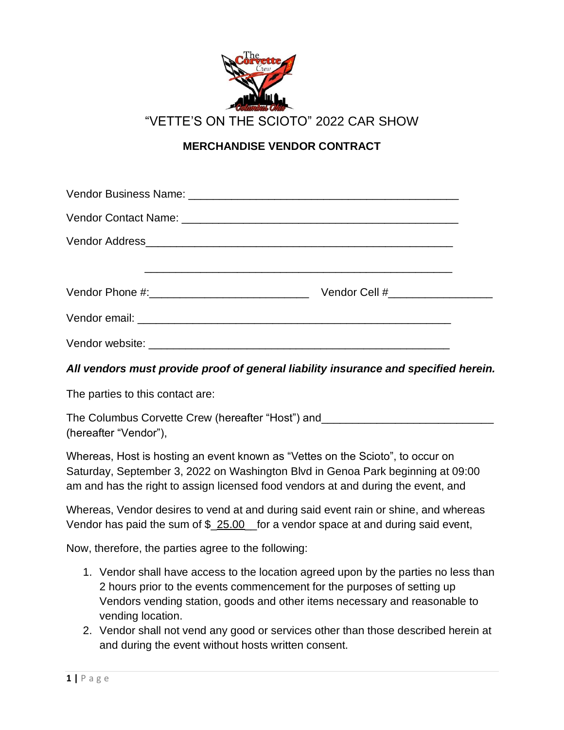

**MERCHANDISE VENDOR CONTRACT**

| Vendor Cell #____________________ |  |
|-----------------------------------|--|
|                                   |  |
|                                   |  |

# *All vendors must provide proof of general liability insurance and specified herein.*

The parties to this contact are:

| The Columbus Corvette Crew (hereafter "Host") and |  |
|---------------------------------------------------|--|
| (hereafter "Vendor"),                             |  |

Whereas, Host is hosting an event known as "Vettes on the Scioto", to occur on Saturday, September 3, 2022 on Washington Blvd in Genoa Park beginning at 09:00 am and has the right to assign licensed food vendors at and during the event, and

Whereas, Vendor desires to vend at and during said event rain or shine, and whereas Vendor has paid the sum of \$\_25.00\_for a vendor space at and during said event,

Now, therefore, the parties agree to the following:

- 1. Vendor shall have access to the location agreed upon by the parties no less than 2 hours prior to the events commencement for the purposes of setting up Vendors vending station, goods and other items necessary and reasonable to vending location.
- 2. Vendor shall not vend any good or services other than those described herein at and during the event without hosts written consent.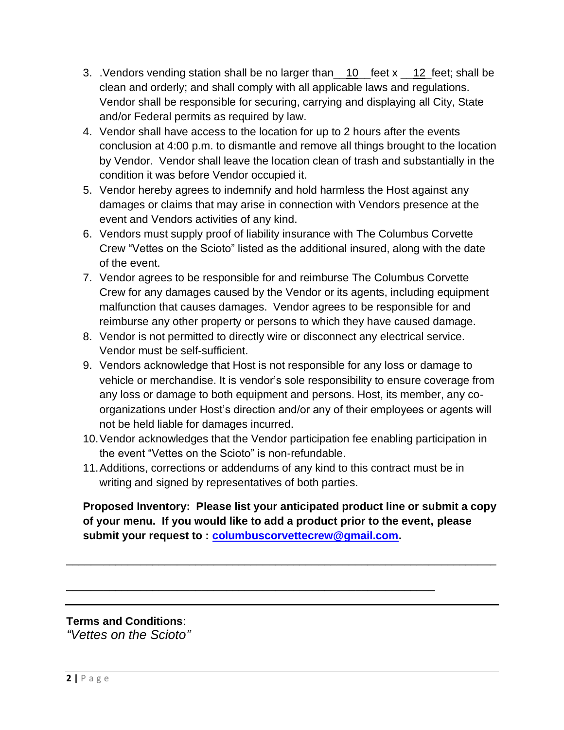- 3. . Vendors vending station shall be no larger than \_\_10\_feet x \_\_12\_feet; shall be clean and orderly; and shall comply with all applicable laws and regulations. Vendor shall be responsible for securing, carrying and displaying all City, State and/or Federal permits as required by law.
- 4. Vendor shall have access to the location for up to 2 hours after the events conclusion at 4:00 p.m. to dismantle and remove all things brought to the location by Vendor. Vendor shall leave the location clean of trash and substantially in the condition it was before Vendor occupied it.
- 5. Vendor hereby agrees to indemnify and hold harmless the Host against any damages or claims that may arise in connection with Vendors presence at the event and Vendors activities of any kind.
- 6. Vendors must supply proof of liability insurance with The Columbus Corvette Crew "Vettes on the Scioto" listed as the additional insured, along with the date of the event.
- 7. Vendor agrees to be responsible for and reimburse The Columbus Corvette Crew for any damages caused by the Vendor or its agents, including equipment malfunction that causes damages. Vendor agrees to be responsible for and reimburse any other property or persons to which they have caused damage.
- 8. Vendor is not permitted to directly wire or disconnect any electrical service. Vendor must be self-sufficient.
- 9. Vendors acknowledge that Host is not responsible for any loss or damage to vehicle or merchandise. It is vendor's sole responsibility to ensure coverage from any loss or damage to both equipment and persons. Host, its member, any coorganizations under Host's direction and/or any of their employees or agents will not be held liable for damages incurred.
- 10.Vendor acknowledges that the Vendor participation fee enabling participation in the event "Vettes on the Scioto" is non-refundable.
- 11.Additions, corrections or addendums of any kind to this contract must be in writing and signed by representatives of both parties.

**Proposed Inventory: Please list your anticipated product line or submit a copy of your menu. If you would like to add a product prior to the event, please submit your request to : [columbuscorvettecrew@gmail.com.](mailto:columbuscorvettecrew@gmail.com)**

\_\_\_\_\_\_\_\_\_\_\_\_\_\_\_\_\_\_\_\_\_\_\_\_\_\_\_\_\_\_\_\_\_\_\_\_\_\_\_\_\_\_\_\_\_\_\_\_\_\_\_\_\_\_\_\_\_\_\_\_\_\_\_\_\_\_\_\_\_\_

\_\_\_\_\_\_\_\_\_\_\_\_\_\_\_\_\_\_\_\_\_\_\_\_\_\_\_\_\_\_\_\_\_\_\_\_\_\_\_\_\_\_\_\_\_\_\_\_\_\_\_\_\_\_\_\_\_\_\_\_

**Terms and Conditions**:

*"Vettes on the Scioto"*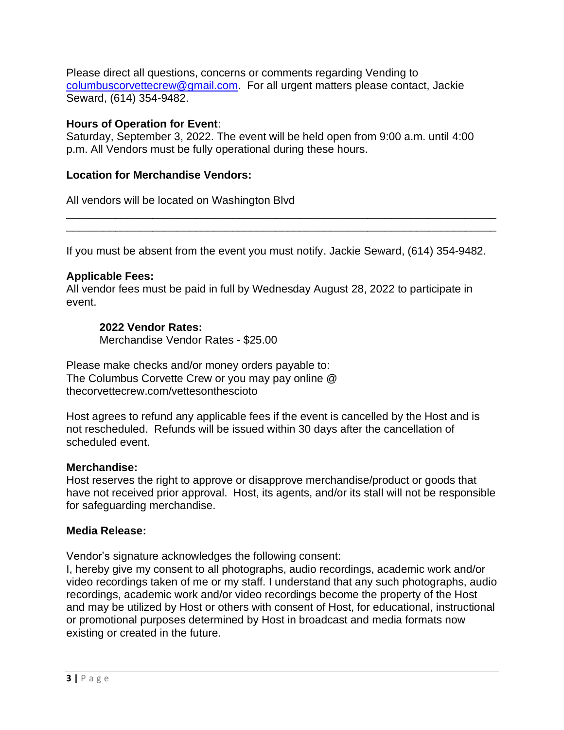Please direct all questions, concerns or comments regarding Vending to [columbuscorvettecrew@gmail.com.](mailto:columbuscorvettecrew@gmail.com) For all urgent matters please contact, Jackie Seward, (614) 354-9482.

### **Hours of Operation for Event**:

Saturday, September 3, 2022. The event will be held open from 9:00 a.m. until 4:00 p.m. All Vendors must be fully operational during these hours.

## **Location for Merchandise Vendors:**

All vendors will be located on Washington Blvd

If you must be absent from the event you must notify. Jackie Seward, (614) 354-9482.

\_\_\_\_\_\_\_\_\_\_\_\_\_\_\_\_\_\_\_\_\_\_\_\_\_\_\_\_\_\_\_\_\_\_\_\_\_\_\_\_\_\_\_\_\_\_\_\_\_\_\_\_\_\_\_\_\_\_\_\_\_\_\_\_\_\_\_\_\_\_ \_\_\_\_\_\_\_\_\_\_\_\_\_\_\_\_\_\_\_\_\_\_\_\_\_\_\_\_\_\_\_\_\_\_\_\_\_\_\_\_\_\_\_\_\_\_\_\_\_\_\_\_\_\_\_\_\_\_\_\_\_\_\_\_\_\_\_\_\_\_

## **Applicable Fees:**

All vendor fees must be paid in full by Wednesday August 28, 2022 to participate in event.

## **2022 Vendor Rates:**

Merchandise Vendor Rates - \$25.00

Please make checks and/or money orders payable to: The Columbus Corvette Crew or you may pay online @ thecorvettecrew.com/vettesonthescioto

Host agrees to refund any applicable fees if the event is cancelled by the Host and is not rescheduled. Refunds will be issued within 30 days after the cancellation of scheduled event.

### **Merchandise:**

Host reserves the right to approve or disapprove merchandise/product or goods that have not received prior approval. Host, its agents, and/or its stall will not be responsible for safeguarding merchandise.

### **Media Release:**

Vendor's signature acknowledges the following consent:

I, hereby give my consent to all photographs, audio recordings, academic work and/or video recordings taken of me or my staff. I understand that any such photographs, audio recordings, academic work and/or video recordings become the property of the Host and may be utilized by Host or others with consent of Host, for educational, instructional or promotional purposes determined by Host in broadcast and media formats now existing or created in the future.